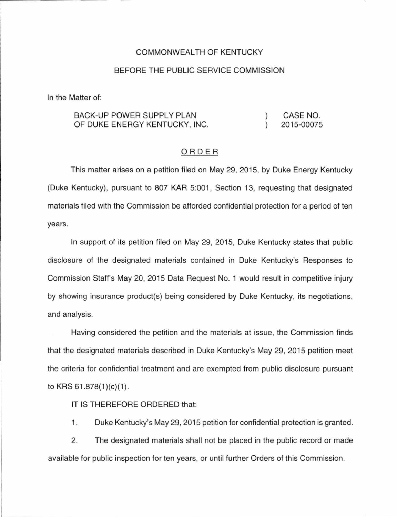# COMMONWEALTH OF KENTUCKY

## BEFORE THE PUBLIC SERVICE COMMISSION

In the Matter of:

#### BACK-UP POWER SUPPLY PLAN CASE NO.  $\mathcal{L}$ OF DUKE ENERGY KENTUCKY, INC.  $\lambda$ 2015-00075

### ORDER

This matter arises on a petition filed on May 29, 2015, by Duke Energy Kentucky (Duke Kentucky), pursuant to 807 KAR 5:001 , Section 13, requesting that designated materials filed with the Commission be afforded confidential protection for a period of ten years.

In support of its petition filed on May 29, 2015, Duke Kentucky states that public disclosure of the designated materials contained in Duke Kentucky's Responses to Commission Staff's May 20, 2015 Data Request No. 1 would result in competitive injury by showing insurance product(s) being considered by Duke Kentucky, its negotiations, and analysis.

Having considered the petition and the materials at issue, the Commission finds that the designated materials described in Duke Kentucky's May 29, 2015 petition meet the criteria for confidential treatment and are exempted from public disclosure pursuant to KRS  $61.878(1)(c)(1)$ .

## IT IS THEREFORE ORDERED that:

1. Duke Kentucky's May 29, 2015 petition for confidential protection is granted.

2. The designated materials shall not be placed in the public record or made available for public inspection for ten years, or until further Orders of this Commission.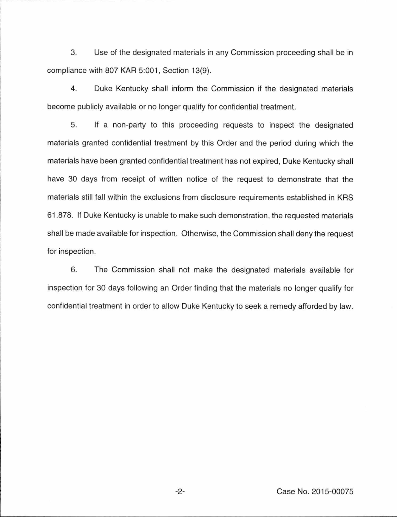3. Use of the designated materials in any Commission proceeding shall be in compliance with 807 KAR 5:001, Section 13(9).

4. Duke Kentucky shall inform the Commission if the designated materials become publicly available or no longer qualify for confidential treatment.

5. If a non-party to this proceeding requests to inspect the designated materials granted confidential treatment by this Order and the period during which the materials have been granted confidential treatment has not expired, Duke Kentucky shall have 30 days from receipt of written notice of the request to demonstrate that the materials still fall within the exclusions from disclosure requirements established in KRS 61.878. If Duke Kentucky is unable to make such demonstration, the requested materials shall be made available for inspection. Otherwise, the Commission shall deny the request for inspection.

6. The Commission shall not make the designated materials available for inspection for 30 days following an Order finding that the materials no longer qualify for confidential treatment in order to allow Duke Kentucky to seek a remedy afforded by law.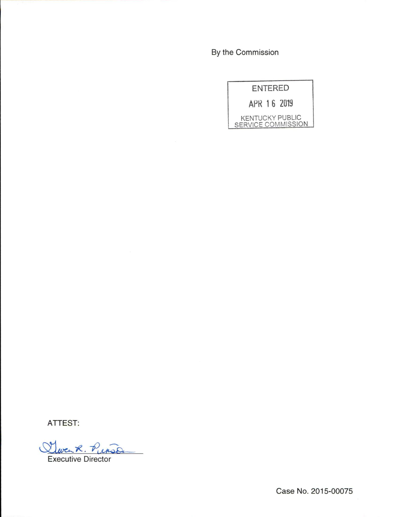By the Commission

|                    | <b>ENTERED</b> |                        |
|--------------------|----------------|------------------------|
|                    |                | APR 16 2019            |
| SERVICE COMMISSION |                | <b>KENTUCKY PUBLIC</b> |

ATTEST:

Quenk. Person

Executive Director

Case No. 2015-00075